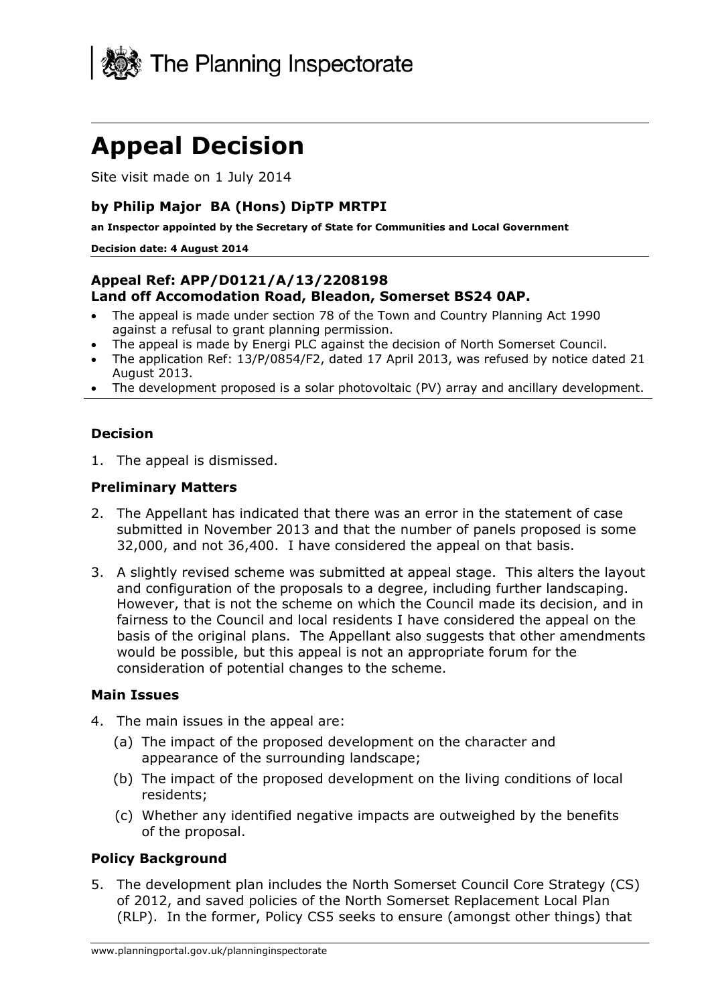

# **Appeal Decision**

Site visit made on 1 July 2014

#### **by Philip Major BA (Hons) DipTP MRTPI**

**an Inspector appointed by the Secretary of State for Communities and Local Government** 

#### **Decision date: 4 August 2014**

#### **Appeal Ref: APP/D0121/A/13/2208198 Land off Accomodation Road, Bleadon, Somerset BS24 0AP.**

- The appeal is made under section 78 of the Town and Country Planning Act 1990 against a refusal to grant planning permission.
- The appeal is made by Energi PLC against the decision of North Somerset Council.
- The application Ref: 13/P/0854/F2, dated 17 April 2013, was refused by notice dated 21 August 2013.
- The development proposed is a solar photovoltaic (PV) array and ancillary development.

#### **Decision**

1. The appeal is dismissed.

#### **Preliminary Matters**

- 2. The Appellant has indicated that there was an error in the statement of case submitted in November 2013 and that the number of panels proposed is some 32,000, and not 36,400. I have considered the appeal on that basis.
- 3. A slightly revised scheme was submitted at appeal stage. This alters the layout and configuration of the proposals to a degree, including further landscaping. However, that is not the scheme on which the Council made its decision, and in fairness to the Council and local residents I have considered the appeal on the basis of the original plans. The Appellant also suggests that other amendments would be possible, but this appeal is not an appropriate forum for the consideration of potential changes to the scheme.

#### **Main Issues**

- 4. The main issues in the appeal are:
	- (a) The impact of the proposed development on the character and appearance of the surrounding landscape;
	- (b) The impact of the proposed development on the living conditions of local residents;
	- (c) Whether any identified negative impacts are outweighed by the benefits of the proposal.

#### **Policy Background**

5. The development plan includes the North Somerset Council Core Strategy (CS) of 2012, and saved policies of the North Somerset Replacement Local Plan (RLP). In the former, Policy CS5 seeks to ensure (amongst other things) that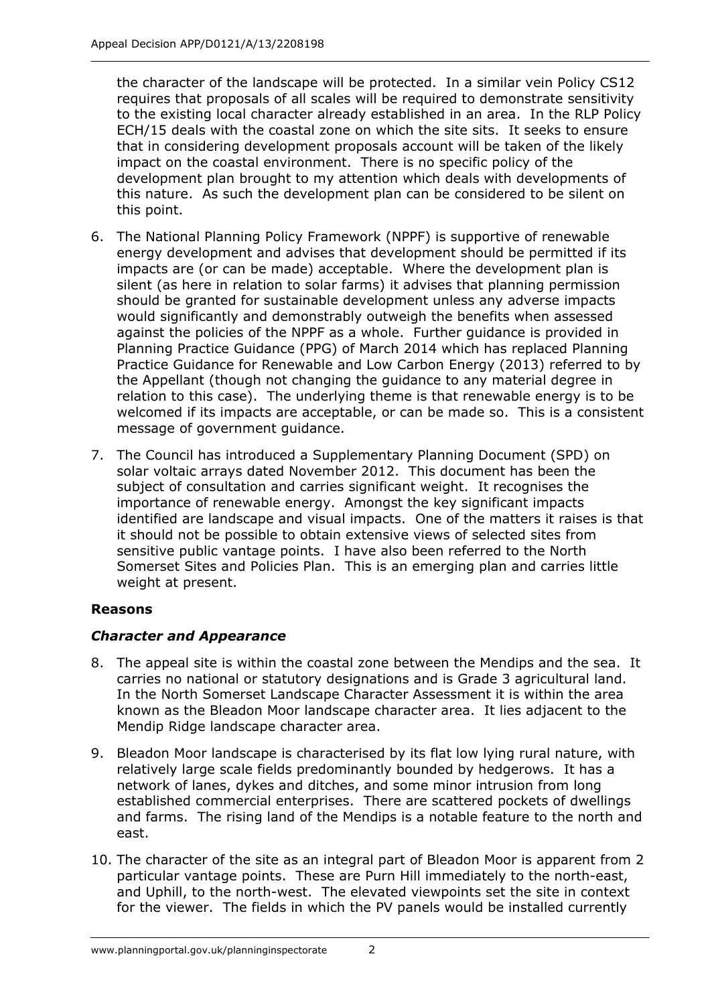the character of the landscape will be protected. In a similar vein Policy CS12 requires that proposals of all scales will be required to demonstrate sensitivity to the existing local character already established in an area. In the RLP Policy ECH/15 deals with the coastal zone on which the site sits. It seeks to ensure that in considering development proposals account will be taken of the likely impact on the coastal environment. There is no specific policy of the development plan brought to my attention which deals with developments of this nature. As such the development plan can be considered to be silent on this point.

- 6. The National Planning Policy Framework (NPPF) is supportive of renewable energy development and advises that development should be permitted if its impacts are (or can be made) acceptable. Where the development plan is silent (as here in relation to solar farms) it advises that planning permission should be granted for sustainable development unless any adverse impacts would significantly and demonstrably outweigh the benefits when assessed against the policies of the NPPF as a whole. Further guidance is provided in Planning Practice Guidance (PPG) of March 2014 which has replaced Planning Practice Guidance for Renewable and Low Carbon Energy (2013) referred to by the Appellant (though not changing the guidance to any material degree in relation to this case). The underlying theme is that renewable energy is to be welcomed if its impacts are acceptable, or can be made so. This is a consistent message of government guidance.
- 7. The Council has introduced a Supplementary Planning Document (SPD) on solar voltaic arrays dated November 2012. This document has been the subject of consultation and carries significant weight. It recognises the importance of renewable energy. Amongst the key significant impacts identified are landscape and visual impacts. One of the matters it raises is that it should not be possible to obtain extensive views of selected sites from sensitive public vantage points. I have also been referred to the North Somerset Sites and Policies Plan. This is an emerging plan and carries little weight at present.

## **Reasons**

## *Character and Appearance*

- 8. The appeal site is within the coastal zone between the Mendips and the sea. It carries no national or statutory designations and is Grade 3 agricultural land. In the North Somerset Landscape Character Assessment it is within the area known as the Bleadon Moor landscape character area. It lies adjacent to the Mendip Ridge landscape character area.
- 9. Bleadon Moor landscape is characterised by its flat low lying rural nature, with relatively large scale fields predominantly bounded by hedgerows. It has a network of lanes, dykes and ditches, and some minor intrusion from long established commercial enterprises. There are scattered pockets of dwellings and farms. The rising land of the Mendips is a notable feature to the north and east.
- 10. The character of the site as an integral part of Bleadon Moor is apparent from 2 particular vantage points. These are Purn Hill immediately to the north-east, and Uphill, to the north-west. The elevated viewpoints set the site in context for the viewer. The fields in which the PV panels would be installed currently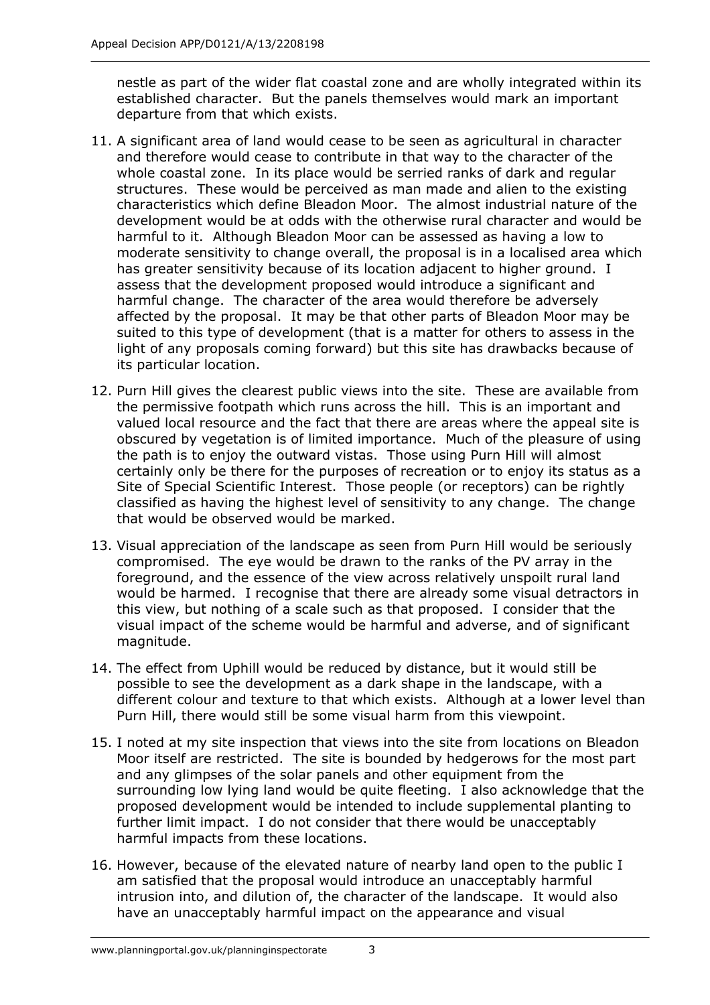nestle as part of the wider flat coastal zone and are wholly integrated within its established character. But the panels themselves would mark an important departure from that which exists.

- 11. A significant area of land would cease to be seen as agricultural in character and therefore would cease to contribute in that way to the character of the whole coastal zone. In its place would be serried ranks of dark and regular structures. These would be perceived as man made and alien to the existing characteristics which define Bleadon Moor. The almost industrial nature of the development would be at odds with the otherwise rural character and would be harmful to it. Although Bleadon Moor can be assessed as having a low to moderate sensitivity to change overall, the proposal is in a localised area which has greater sensitivity because of its location adjacent to higher ground. I assess that the development proposed would introduce a significant and harmful change. The character of the area would therefore be adversely affected by the proposal. It may be that other parts of Bleadon Moor may be suited to this type of development (that is a matter for others to assess in the light of any proposals coming forward) but this site has drawbacks because of its particular location.
- 12. Purn Hill gives the clearest public views into the site. These are available from the permissive footpath which runs across the hill. This is an important and valued local resource and the fact that there are areas where the appeal site is obscured by vegetation is of limited importance. Much of the pleasure of using the path is to enjoy the outward vistas. Those using Purn Hill will almost certainly only be there for the purposes of recreation or to enjoy its status as a Site of Special Scientific Interest. Those people (or receptors) can be rightly classified as having the highest level of sensitivity to any change. The change that would be observed would be marked.
- 13. Visual appreciation of the landscape as seen from Purn Hill would be seriously compromised. The eye would be drawn to the ranks of the PV array in the foreground, and the essence of the view across relatively unspoilt rural land would be harmed. I recognise that there are already some visual detractors in this view, but nothing of a scale such as that proposed. I consider that the visual impact of the scheme would be harmful and adverse, and of significant magnitude.
- 14. The effect from Uphill would be reduced by distance, but it would still be possible to see the development as a dark shape in the landscape, with a different colour and texture to that which exists. Although at a lower level than Purn Hill, there would still be some visual harm from this viewpoint.
- 15. I noted at my site inspection that views into the site from locations on Bleadon Moor itself are restricted. The site is bounded by hedgerows for the most part and any glimpses of the solar panels and other equipment from the surrounding low lying land would be quite fleeting. I also acknowledge that the proposed development would be intended to include supplemental planting to further limit impact. I do not consider that there would be unacceptably harmful impacts from these locations.
- 16. However, because of the elevated nature of nearby land open to the public I am satisfied that the proposal would introduce an unacceptably harmful intrusion into, and dilution of, the character of the landscape. It would also have an unacceptably harmful impact on the appearance and visual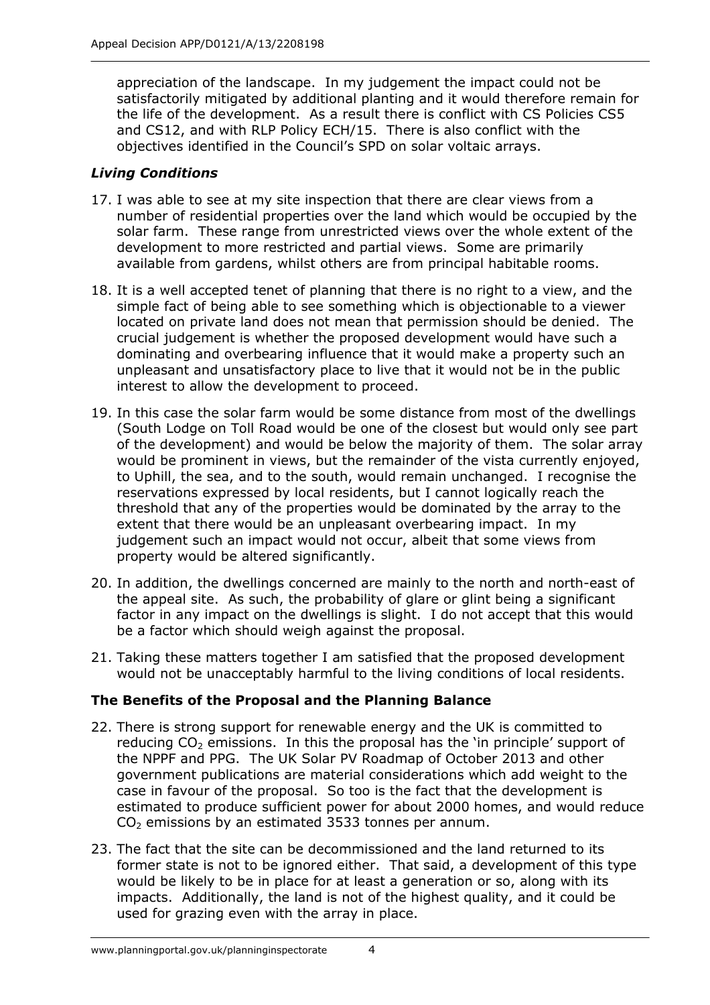appreciation of the landscape. In my judgement the impact could not be satisfactorily mitigated by additional planting and it would therefore remain for the life of the development. As a result there is conflict with CS Policies CS5 and CS12, and with RLP Policy ECH/15. There is also conflict with the objectives identified in the Council's SPD on solar voltaic arrays.

## *Living Conditions*

- 17. I was able to see at my site inspection that there are clear views from a number of residential properties over the land which would be occupied by the solar farm. These range from unrestricted views over the whole extent of the development to more restricted and partial views. Some are primarily available from gardens, whilst others are from principal habitable rooms.
- 18. It is a well accepted tenet of planning that there is no right to a view, and the simple fact of being able to see something which is objectionable to a viewer located on private land does not mean that permission should be denied. The crucial judgement is whether the proposed development would have such a dominating and overbearing influence that it would make a property such an unpleasant and unsatisfactory place to live that it would not be in the public interest to allow the development to proceed.
- 19. In this case the solar farm would be some distance from most of the dwellings (South Lodge on Toll Road would be one of the closest but would only see part of the development) and would be below the majority of them. The solar array would be prominent in views, but the remainder of the vista currently enjoyed, to Uphill, the sea, and to the south, would remain unchanged. I recognise the reservations expressed by local residents, but I cannot logically reach the threshold that any of the properties would be dominated by the array to the extent that there would be an unpleasant overbearing impact. In my judgement such an impact would not occur, albeit that some views from property would be altered significantly.
- 20. In addition, the dwellings concerned are mainly to the north and north-east of the appeal site. As such, the probability of glare or glint being a significant factor in any impact on the dwellings is slight. I do not accept that this would be a factor which should weigh against the proposal.
- 21. Taking these matters together I am satisfied that the proposed development would not be unacceptably harmful to the living conditions of local residents.

## **The Benefits of the Proposal and the Planning Balance**

- 22. There is strong support for renewable energy and the UK is committed to reducing  $CO<sub>2</sub>$  emissions. In this the proposal has the 'in principle' support of the NPPF and PPG. The UK Solar PV Roadmap of October 2013 and other government publications are material considerations which add weight to the case in favour of the proposal. So too is the fact that the development is estimated to produce sufficient power for about 2000 homes, and would reduce  $CO<sub>2</sub>$  emissions by an estimated 3533 tonnes per annum.
- 23. The fact that the site can be decommissioned and the land returned to its former state is not to be ignored either. That said, a development of this type would be likely to be in place for at least a generation or so, along with its impacts. Additionally, the land is not of the highest quality, and it could be used for grazing even with the array in place.